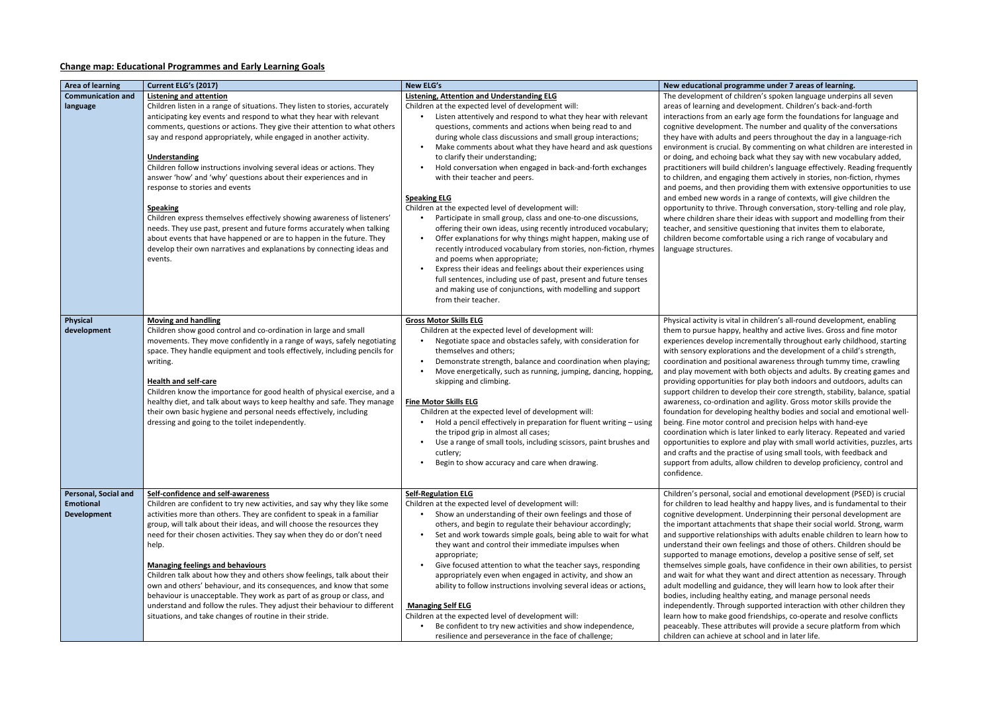## **Change map: Educational Programmes and Early Learning Goals**

| <b>Area of learning</b>                                               | Current ELG's (2017)                                                                                                                                                                                                                                                                                                                                                                                                                                                                                                                                                                                                                                                                                                                                                                                                                                                      | <b>New ELG's</b>                                                                                                                                                                                                                                                                                                                                                                                                                                                                                                                                                                                                                                                                                                                                                                                                                                                                                                                                                                                                                                                                                                      | <b>New educational progran</b>                                                                                                                                                                                                                                                                                                                                                                                                                                       |
|-----------------------------------------------------------------------|---------------------------------------------------------------------------------------------------------------------------------------------------------------------------------------------------------------------------------------------------------------------------------------------------------------------------------------------------------------------------------------------------------------------------------------------------------------------------------------------------------------------------------------------------------------------------------------------------------------------------------------------------------------------------------------------------------------------------------------------------------------------------------------------------------------------------------------------------------------------------|-----------------------------------------------------------------------------------------------------------------------------------------------------------------------------------------------------------------------------------------------------------------------------------------------------------------------------------------------------------------------------------------------------------------------------------------------------------------------------------------------------------------------------------------------------------------------------------------------------------------------------------------------------------------------------------------------------------------------------------------------------------------------------------------------------------------------------------------------------------------------------------------------------------------------------------------------------------------------------------------------------------------------------------------------------------------------------------------------------------------------|----------------------------------------------------------------------------------------------------------------------------------------------------------------------------------------------------------------------------------------------------------------------------------------------------------------------------------------------------------------------------------------------------------------------------------------------------------------------|
| <b>Communication and</b><br>language                                  | <b>Listening and attention</b><br>Children listen in a range of situations. They listen to stories, accurately<br>anticipating key events and respond to what they hear with relevant<br>comments, questions or actions. They give their attention to what others<br>say and respond appropriately, while engaged in another activity.<br>Understanding<br>Children follow instructions involving several ideas or actions. They<br>answer 'how' and 'why' questions about their experiences and in<br>response to stories and events<br><b>Speaking</b><br>Children express themselves effectively showing awareness of listeners'<br>needs. They use past, present and future forms accurately when talking<br>about events that have happened or are to happen in the future. They<br>develop their own narratives and explanations by connecting ideas and<br>events. | <b>Listening, Attention and Understanding ELG</b><br>Children at the expected level of development will:<br>Listen attentively and respond to what they hear with relevant<br>questions, comments and actions when being read to and<br>during whole class discussions and small group interactions;<br>Make comments about what they have heard and ask questions<br>to clarify their understanding;<br>Hold conversation when engaged in back-and-forth exchanges<br>with their teacher and peers.<br><b>Speaking ELG</b><br>Children at the expected level of development will:<br>Participate in small group, class and one-to-one discussions,<br>offering their own ideas, using recently introduced vocabulary;<br>Offer explanations for why things might happen, making use of<br>recently introduced vocabulary from stories, non-fiction, rhymes<br>and poems when appropriate;<br>Express their ideas and feelings about their experiences using<br>full sentences, including use of past, present and future tenses<br>and making use of conjunctions, with modelling and support<br>from their teacher. | The development of child<br>areas of learning and dev<br>interactions from an early<br>cognitive development. T<br>they have with adults and<br>environment is crucial. By<br>or doing, and echoing bad<br>practitioners will build ch<br>to children, and engaging<br>and poems, and then pro<br>and embed new words in<br>opportunity to thrive. Thr<br>where children share thei<br>teacher, and sensitive que<br>children become comfort<br>language structures. |
| <b>Physical</b><br>development                                        | <b>Moving and handling</b><br>Children show good control and co-ordination in large and small<br>movements. They move confidently in a range of ways, safely negotiating<br>space. They handle equipment and tools effectively, including pencils for<br>writing.<br><b>Health and self-care</b><br>Children know the importance for good health of physical exercise, and a<br>healthy diet, and talk about ways to keep healthy and safe. They manage<br>their own basic hygiene and personal needs effectively, including<br>dressing and going to the toilet independently.                                                                                                                                                                                                                                                                                           | <b>Gross Motor Skills ELG</b><br>Children at the expected level of development will:<br>Negotiate space and obstacles safely, with consideration for<br>$\bullet$<br>themselves and others;<br>Demonstrate strength, balance and coordination when playing;<br>Move energetically, such as running, jumping, dancing, hopping,<br>skipping and climbing.<br><b>Fine Motor Skills ELG</b><br>Children at the expected level of development will:<br>Hold a pencil effectively in preparation for fluent writing - using<br>the tripod grip in almost all cases;<br>Use a range of small tools, including scissors, paint brushes and<br>cutlery;<br>Begin to show accuracy and care when drawing.                                                                                                                                                                                                                                                                                                                                                                                                                      | Physical activity is vital in<br>them to pursue happy, he<br>experiences develop incre<br>with sensory explorations<br>coordination and position<br>and play movement with<br>providing opportunities fo<br>support children to devel<br>awareness, co-ordination<br>foundation for developing<br>being. Fine motor control<br>coordination which is late<br>opportunities to explore a<br>and crafts and the practis<br>support from adults, allow<br>confidence.   |
| <b>Personal, Social and</b><br><b>Emotional</b><br><b>Development</b> | Self-confidence and self-awareness<br>Children are confident to try new activities, and say why they like some<br>activities more than others. They are confident to speak in a familiar<br>group, will talk about their ideas, and will choose the resources they<br>need for their chosen activities. They say when they do or don't need<br>help.<br><b>Managing feelings and behaviours</b><br>Children talk about how they and others show feelings, talk about their<br>own and others' behaviour, and its consequences, and know that some<br>behaviour is unacceptable. They work as part of as group or class, and<br>understand and follow the rules. They adjust their behaviour to different<br>situations, and take changes of routine in their stride.                                                                                                      | <b>Self-Regulation ELG</b><br>Children at the expected level of development will:<br>Show an understanding of their own feelings and those of<br>٠<br>others, and begin to regulate their behaviour accordingly;<br>Set and work towards simple goals, being able to wait for what<br>$\bullet$<br>they want and control their immediate impulses when<br>appropriate;<br>Give focused attention to what the teacher says, responding<br>appropriately even when engaged in activity, and show an<br>ability to follow instructions involving several ideas or actions.<br><b>Managing Self ELG</b><br>Children at the expected level of development will:<br>Be confident to try new activities and show independence,<br>resilience and perseverance in the face of challenge;                                                                                                                                                                                                                                                                                                                                      | Children's personal, socia<br>for children to lead health<br>cognitive development. U<br>the important attachmen<br>and supportive relationsh<br>understand their own fee<br>supported to manage em<br>themselves simple goals,<br>and wait for what they wa<br>adult modelling and guida<br>bodies, including healthy<br>independently. Through s<br>learn how to make good f<br>peaceably. These attribut<br>children can achieve at sc                            |

## **Araba Under 7 areas of learning.**

Iren's spoken language underpins all seven elopment. Children's back-and-forth interactions for language and interactions for language and he number and quality of the conversations peers throughout the day in a language-rich commenting on what children are interested in ck what they say with new vocabulary added, ildren's language effectively. Reading frequently them actively in stories, non-fiction, rhymes widing them with extensive opportunities to use a range of contexts, will give children the rough conversation, story-telling and role play, eir ideas with support and modelling from their teacher, and settioning that invites them to elaborate, table using a rich range of vocabulary and

children's all-round development, enabling ealthy and active lives. Gross and fine motor ementally throughout early childhood, starting and the development of a child's strength, al awareness through tummy time, crawling both objects and adults. By creating games and or play both indoors and outdoors, adults can lop their core strength, stability, balance, spatial and agility. Gross motor skills provide the ig healthy bodies and social and emotional welland precision helps with hand-eye er linked to early literacy. Repeated and varied and play with small world activities, puzzles, arts se of using small tools, with feedback and w children to develop proficiency, control and

I and emotional development (PSED) is crucial hy and happy lives, and is fundamental to their Inderpinning their personal development are tts that shape their social world. Strong, warm hips with adults enable children to learn how to elings and those of others. Children should be notions, develop a positive sense of self, set have confidence in their own abilities, to persist ant and direct attention as necessary. Through ance, they will learn how to look after their eating, and manage personal needs supported interaction with other children they friendships, co-operate and resolve conflicts tes will provide a secure platform from which chool and in later life.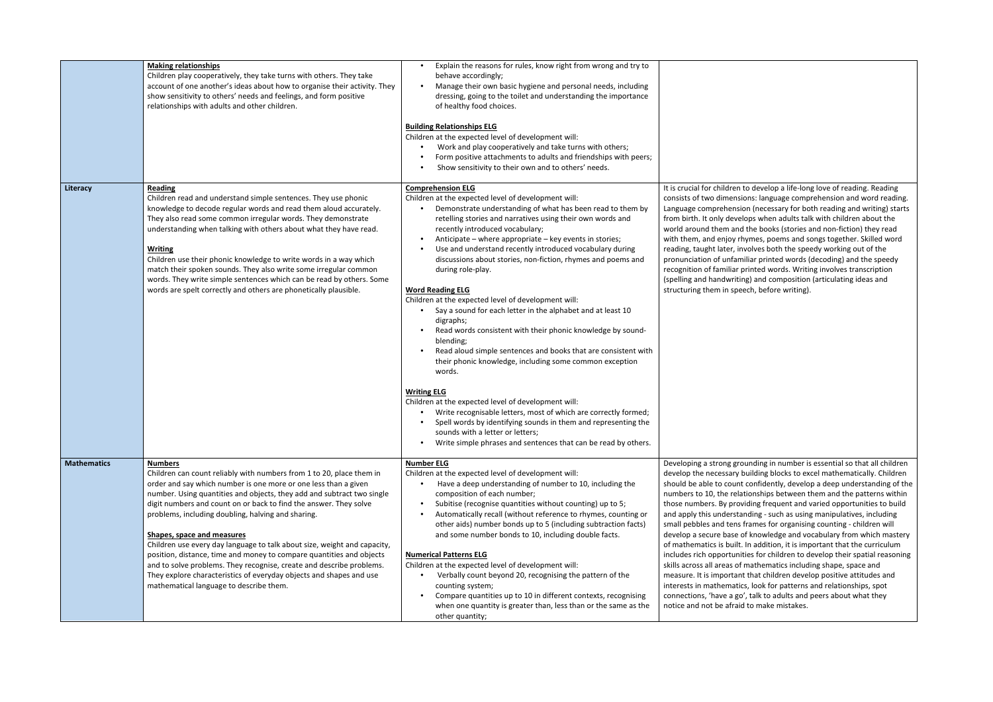|                    | <b>Making relationships</b><br>Children play cooperatively, they take turns with others. They take<br>account of one another's ideas about how to organise their activity. They<br>show sensitivity to others' needs and feelings, and form positive<br>relationships with adults and other children.                                                                                                                                                                                                                                                                                                                                                                                                                                      | Explain the reasons for rules, know right from wrong and try to<br>$\bullet$<br>behave accordingly;<br>Manage their own basic hygiene and personal needs, including<br>$\bullet$<br>dressing, going to the toilet and understanding the importance<br>of healthy food choices.<br><b>Building Relationships ELG</b><br>Children at the expected level of development will:<br>Work and play cooperatively and take turns with others;<br>Form positive attachments to adults and friendships with peers;<br>Show sensitivity to their own and to others' needs.                                                                                                                                                                                                                                                                                                                                                                                                                                                                                                                                                                                                                  |                                                                                                                                                                                                                                                                                                                                                                                                                                                                 |
|--------------------|--------------------------------------------------------------------------------------------------------------------------------------------------------------------------------------------------------------------------------------------------------------------------------------------------------------------------------------------------------------------------------------------------------------------------------------------------------------------------------------------------------------------------------------------------------------------------------------------------------------------------------------------------------------------------------------------------------------------------------------------|----------------------------------------------------------------------------------------------------------------------------------------------------------------------------------------------------------------------------------------------------------------------------------------------------------------------------------------------------------------------------------------------------------------------------------------------------------------------------------------------------------------------------------------------------------------------------------------------------------------------------------------------------------------------------------------------------------------------------------------------------------------------------------------------------------------------------------------------------------------------------------------------------------------------------------------------------------------------------------------------------------------------------------------------------------------------------------------------------------------------------------------------------------------------------------|-----------------------------------------------------------------------------------------------------------------------------------------------------------------------------------------------------------------------------------------------------------------------------------------------------------------------------------------------------------------------------------------------------------------------------------------------------------------|
| Literacy           | Reading<br>Children read and understand simple sentences. They use phonic<br>knowledge to decode regular words and read them aloud accurately.<br>They also read some common irregular words. They demonstrate<br>understanding when talking with others about what they have read.<br><b>Writing</b><br>Children use their phonic knowledge to write words in a way which<br>match their spoken sounds. They also write some irregular common<br>words. They write simple sentences which can be read by others. Some<br>words are spelt correctly and others are phonetically plausible.                                                                                                                                                 | <b>Comprehension ELG</b><br>Children at the expected level of development will:<br>Demonstrate understanding of what has been read to them by<br>retelling stories and narratives using their own words and<br>recently introduced vocabulary;<br>Anticipate - where appropriate - key events in stories;<br>Use and understand recently introduced vocabulary during<br>discussions about stories, non-fiction, rhymes and poems and<br>during role-play.<br><b>Word Reading ELG</b><br>Children at the expected level of development will:<br>Say a sound for each letter in the alphabet and at least 10<br>digraphs;<br>Read words consistent with their phonic knowledge by sound-<br>blending;<br>Read aloud simple sentences and books that are consistent with<br>their phonic knowledge, including some common exception<br>words.<br><b>Writing ELG</b><br>Children at the expected level of development will:<br>Write recognisable letters, most of which are correctly formed;<br>Spell words by identifying sounds in them and representing the<br>sounds with a letter or letters;<br>Write simple phrases and sentences that can be read by others.<br>$\bullet$ | It is crucial for children to<br>consists of two dimension<br>Language comprehension<br>from birth. It only develop<br>world around them and th<br>with them, and enjoy rhyr<br>reading, taught later, invo<br>pronunciation of unfamilia<br>recognition of familiar prii<br>(spelling and handwriting)<br>structuring them in speecl                                                                                                                           |
| <b>Mathematics</b> | <b>Numbers</b><br>Children can count reliably with numbers from 1 to 20, place them in<br>order and say which number is one more or one less than a given<br>number. Using quantities and objects, they add and subtract two single<br>digit numbers and count on or back to find the answer. They solve<br>problems, including doubling, halving and sharing.<br>Shapes, space and measures<br>Children use every day language to talk about size, weight and capacity,<br>position, distance, time and money to compare quantities and objects<br>and to solve problems. They recognise, create and describe problems.<br>They explore characteristics of everyday objects and shapes and use<br>mathematical language to describe them. | <b>Number ELG</b><br>Children at the expected level of development will:<br>Have a deep understanding of number to 10, including the<br>composition of each number;<br>Subitise (recognise quantities without counting) up to 5;<br>Automatically recall (without reference to rhymes, counting or<br>other aids) number bonds up to 5 (including subtraction facts)<br>and some number bonds to 10, including double facts.<br><b>Numerical Patterns ELG</b><br>Children at the expected level of development will:<br>Verbally count beyond 20, recognising the pattern of the<br>counting system;<br>Compare quantities up to 10 in different contexts, recognising<br>when one quantity is greater than, less than or the same as the<br>other quantity;                                                                                                                                                                                                                                                                                                                                                                                                                     | Developing a strong grour<br>develop the necessary bui<br>should be able to count co<br>numbers to 10, the relatio<br>those numbers. By provid<br>and apply this understand<br>small pebbles and tens fra<br>develop a secure base of k<br>of mathematics is built. In<br>includes rich opportunitie<br>skills across all areas of ma<br>measure. It is important tl<br>interests in mathematics,<br>connections, 'have a go', t<br>notice and not be afraid to |

develop a life-long love of reading. Reading ns: language comprehension and word reading. I (necessary for both reading and writing) starts ps when adults talk with children about the he books (stories and non-fiction) they read mes, poems and songs together. Skilled word plves both the speedy working out of the ar printed words (decoding) and the speedy inted words. Writing involves transcription ) and composition (articulating ideas and h, before writing).

nding in number is essential so that all children ilding blocks to excel mathematically. Children onfidently, develop a deep understanding of the onships between them and the patterns within ling frequent and varied opportunities to build ding - such as using manipulatives, including ames for organising counting - children will knowledge and vocabulary from which mastery n addition, it is important that the curriculum es for children to develop their spatial reasoning athematics including shape, space and hat children develop positive attitudes and look for patterns and relationships, spot talk to adults and peers about what they o make mistakes.